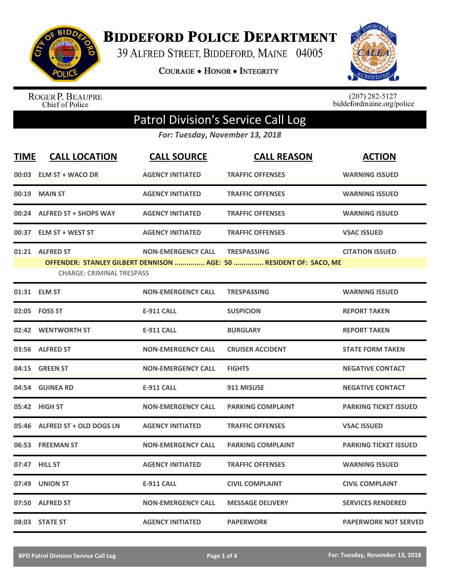

**BIDDEFORD POLICE DEPARTMENT** 

39 ALFRED STREET, BIDDEFORD, MAINE 04005

**COURAGE . HONOR . INTEGRITY** 



ROGER P. BEAUPRE<br>Chief of Police

 $(207)$  282-5127<br>biddefordmaine.org/police

## Patrol Division's Service Call Log

*For: Tuesday, November 13, 2018*

| <b>TIME</b> | <b>CALL LOCATION</b>                                | <b>CALL SOURCE</b>        | <b>CALL REASON</b>                                                                       | <b>ACTION</b>                |
|-------------|-----------------------------------------------------|---------------------------|------------------------------------------------------------------------------------------|------------------------------|
| 00:03       | <b>ELM ST + WACO DR</b>                             | <b>AGENCY INITIATED</b>   | <b>TRAFFIC OFFENSES</b>                                                                  | <b>WARNING ISSUED</b>        |
| 00:19       | <b>MAIN ST</b>                                      | <b>AGENCY INITIATED</b>   | <b>TRAFFIC OFFENSES</b>                                                                  | <b>WARNING ISSUED</b>        |
|             | 00:24 ALFRED ST + SHOPS WAY                         | <b>AGENCY INITIATED</b>   | <b>TRAFFIC OFFENSES</b>                                                                  | <b>WARNING ISSUED</b>        |
|             | 00:37 ELM ST + WEST ST                              | <b>AGENCY INITIATED</b>   | <b>TRAFFIC OFFENSES</b>                                                                  | <b>VSAC ISSUED</b>           |
|             | 01:21 ALFRED ST<br><b>CHARGE: CRIMINAL TRESPASS</b> | <b>NON-EMERGENCY CALL</b> | <b>TRESPASSING</b><br>OFFENDER: STANLEY GILBERT DENNISON  AGE: 50  RESIDENT OF: SACO, ME | <b>CITATION ISSUED</b>       |
|             | 01:31 ELM ST                                        | <b>NON-EMERGENCY CALL</b> | <b>TRESPASSING</b>                                                                       | <b>WARNING ISSUED</b>        |
| 02:05       | <b>FOSS ST</b>                                      | <b>E-911 CALL</b>         | <b>SUSPICION</b>                                                                         | <b>REPORT TAKEN</b>          |
| 02:42       | <b>WENTWORTH ST</b>                                 | <b>E-911 CALL</b>         | <b>BURGLARY</b>                                                                          | <b>REPORT TAKEN</b>          |
| 03:56       | <b>ALFRED ST</b>                                    | <b>NON-EMERGENCY CALL</b> | <b>CRUISER ACCIDENT</b>                                                                  | <b>STATE FORM TAKEN</b>      |
| 04:15       | <b>GREEN ST</b>                                     | <b>NON-EMERGENCY CALL</b> | <b>FIGHTS</b>                                                                            | <b>NEGATIVE CONTACT</b>      |
|             | 04:54 GUINEA RD                                     | <b>E-911 CALL</b>         | 911 MISUSE                                                                               | <b>NEGATIVE CONTACT</b>      |
|             | 05:42 HIGH ST                                       | <b>NON-EMERGENCY CALL</b> | <b>PARKING COMPLAINT</b>                                                                 | <b>PARKING TICKET ISSUED</b> |
| 05:46       | ALFRED ST + OLD DOGS LN                             | <b>AGENCY INITIATED</b>   | <b>TRAFFIC OFFENSES</b>                                                                  | <b>VSAC ISSUED</b>           |
| 06:53       | <b>FREEMAN ST</b>                                   | <b>NON-EMERGENCY CALL</b> | <b>PARKING COMPLAINT</b>                                                                 | <b>PARKING TICKET ISSUED</b> |
| 07:47       | <b>HILL ST</b>                                      | <b>AGENCY INITIATED</b>   | <b>TRAFFIC OFFENSES</b>                                                                  | <b>WARNING ISSUED</b>        |
| 07:49       | <b>UNION ST</b>                                     | <b>E-911 CALL</b>         | <b>CIVIL COMPLAINT</b>                                                                   | <b>CIVIL COMPLAINT</b>       |
|             | 07:50 ALFRED ST                                     | <b>NON-EMERGENCY CALL</b> | <b>MESSAGE DELIVERY</b>                                                                  | <b>SERVICES RENDERED</b>     |
|             | 08:03 STATE ST                                      | <b>AGENCY INITIATED</b>   | <b>PAPERWORK</b>                                                                         | <b>PAPERWORK NOT SERVED</b>  |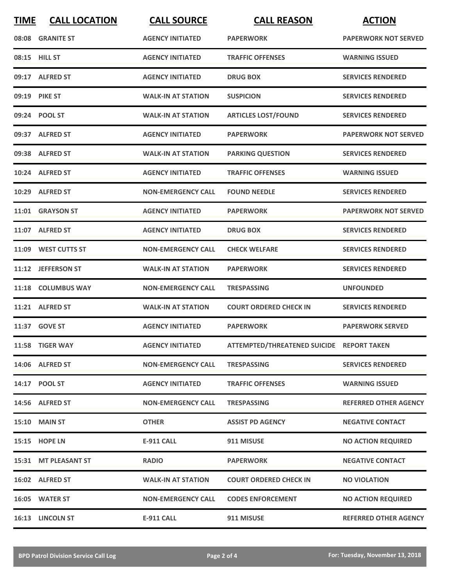| <b>TIME</b> | <b>CALL LOCATION</b> | <b>CALL SOURCE</b>        | <b>CALL REASON</b>                        | <b>ACTION</b>                |
|-------------|----------------------|---------------------------|-------------------------------------------|------------------------------|
|             | 08:08 GRANITE ST     | <b>AGENCY INITIATED</b>   | <b>PAPERWORK</b>                          | <b>PAPERWORK NOT SERVED</b>  |
|             | 08:15 HILL ST        | <b>AGENCY INITIATED</b>   | <b>TRAFFIC OFFENSES</b>                   | <b>WARNING ISSUED</b>        |
|             | 09:17 ALFRED ST      | <b>AGENCY INITIATED</b>   | <b>DRUG BOX</b>                           | <b>SERVICES RENDERED</b>     |
|             | 09:19 PIKE ST        | <b>WALK-IN AT STATION</b> | <b>SUSPICION</b>                          | <b>SERVICES RENDERED</b>     |
|             | 09:24 POOL ST        | <b>WALK-IN AT STATION</b> | <b>ARTICLES LOST/FOUND</b>                | <b>SERVICES RENDERED</b>     |
|             | 09:37 ALFRED ST      | <b>AGENCY INITIATED</b>   | <b>PAPERWORK</b>                          | <b>PAPERWORK NOT SERVED</b>  |
|             | 09:38 ALFRED ST      | <b>WALK-IN AT STATION</b> | <b>PARKING QUESTION</b>                   | <b>SERVICES RENDERED</b>     |
|             | 10:24 ALFRED ST      | <b>AGENCY INITIATED</b>   | <b>TRAFFIC OFFENSES</b>                   | <b>WARNING ISSUED</b>        |
| 10:29       | <b>ALFRED ST</b>     | <b>NON-EMERGENCY CALL</b> | <b>FOUND NEEDLE</b>                       | <b>SERVICES RENDERED</b>     |
|             | 11:01 GRAYSON ST     | <b>AGENCY INITIATED</b>   | <b>PAPERWORK</b>                          | <b>PAPERWORK NOT SERVED</b>  |
|             | 11:07 ALFRED ST      | <b>AGENCY INITIATED</b>   | <b>DRUG BOX</b>                           | <b>SERVICES RENDERED</b>     |
|             | 11:09 WEST CUTTS ST  | <b>NON-EMERGENCY CALL</b> | <b>CHECK WELFARE</b>                      | <b>SERVICES RENDERED</b>     |
|             | 11:12 JEFFERSON ST   | <b>WALK-IN AT STATION</b> | <b>PAPERWORK</b>                          | <b>SERVICES RENDERED</b>     |
| 11:18       | <b>COLUMBUS WAY</b>  | <b>NON-EMERGENCY CALL</b> | <b>TRESPASSING</b>                        | <b>UNFOUNDED</b>             |
| 11:21       | <b>ALFRED ST</b>     | <b>WALK-IN AT STATION</b> | <b>COURT ORDERED CHECK IN</b>             | <b>SERVICES RENDERED</b>     |
|             | 11:37 GOVE ST        | <b>AGENCY INITIATED</b>   | <b>PAPERWORK</b>                          | <b>PAPERWORK SERVED</b>      |
|             | 11:58 TIGER WAY      | <b>AGENCY INITIATED</b>   | ATTEMPTED/THREATENED SUICIDE REPORT TAKEN |                              |
|             | 14:06 ALFRED ST      | <b>NON-EMERGENCY CALL</b> | <b>TRESPASSING</b>                        | <b>SERVICES RENDERED</b>     |
|             | 14:17 POOL ST        | <b>AGENCY INITIATED</b>   | <b>TRAFFIC OFFENSES</b>                   | <b>WARNING ISSUED</b>        |
|             | 14:56 ALFRED ST      | <b>NON-EMERGENCY CALL</b> | <b>TRESPASSING</b>                        | <b>REFERRED OTHER AGENCY</b> |
|             | <b>15:10 MAIN ST</b> | <b>OTHER</b>              | <b>ASSIST PD AGENCY</b>                   | <b>NEGATIVE CONTACT</b>      |
|             | 15:15 HOPE LN        | <b>E-911 CALL</b>         | 911 MISUSE                                | <b>NO ACTION REQUIRED</b>    |
|             | 15:31 MT PLEASANT ST | <b>RADIO</b>              | <b>PAPERWORK</b>                          | <b>NEGATIVE CONTACT</b>      |
|             | 16:02 ALFRED ST      | <b>WALK-IN AT STATION</b> | <b>COURT ORDERED CHECK IN</b>             | <b>NO VIOLATION</b>          |
|             | 16:05 WATER ST       | <b>NON-EMERGENCY CALL</b> | <b>CODES ENFORCEMENT</b>                  | <b>NO ACTION REQUIRED</b>    |
|             | 16:13 LINCOLN ST     | E-911 CALL                | 911 MISUSE                                | <b>REFERRED OTHER AGENCY</b> |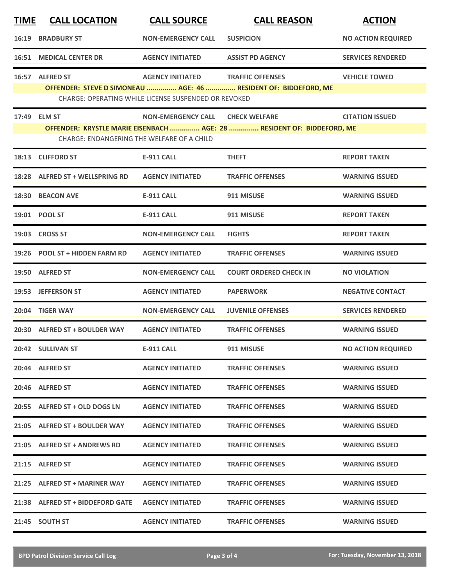| <b>TIME</b> | <b>CALL LOCATION</b>                                       | <b>CALL SOURCE</b>                                                              | <b>CALL REASON</b>                                                                             | <b>ACTION</b>             |
|-------------|------------------------------------------------------------|---------------------------------------------------------------------------------|------------------------------------------------------------------------------------------------|---------------------------|
|             | <b>16:19 BRADBURY ST</b>                                   | <b>NON-EMERGENCY CALL</b>                                                       | <b>SUSPICION</b>                                                                               | <b>NO ACTION REQUIRED</b> |
|             | <b>16:51 MEDICAL CENTER DR</b>                             | <b>AGENCY INITIATED</b>                                                         | <b>ASSIST PD AGENCY</b>                                                                        | <b>SERVICES RENDERED</b>  |
|             | 16:57 ALFRED ST                                            | <b>AGENCY INITIATED</b><br>CHARGE: OPERATING WHILE LICENSE SUSPENDED OR REVOKED | <b>TRAFFIC OFFENSES</b><br>OFFENDER: STEVE D SIMONEAU  AGE: 46  RESIDENT OF: BIDDEFORD, ME     | <b>VEHICLE TOWED</b>      |
|             | 17:49 ELM ST<br>CHARGE: ENDANGERING THE WELFARE OF A CHILD | <b>NON-EMERGENCY CALL</b>                                                       | <b>CHECK WELFARE</b><br>OFFENDER: KRYSTLE MARIE EISENBACH  AGE: 28  RESIDENT OF: BIDDEFORD, ME | <b>CITATION ISSUED</b>    |
|             | 18:13 CLIFFORD ST                                          | <b>E-911 CALL</b>                                                               | <b>THEFT</b>                                                                                   | <b>REPORT TAKEN</b>       |
|             | 18:28 ALFRED ST + WELLSPRING RD                            | <b>AGENCY INITIATED</b>                                                         | <b>TRAFFIC OFFENSES</b>                                                                        | <b>WARNING ISSUED</b>     |
|             | 18:30 BEACON AVE                                           | <b>E-911 CALL</b>                                                               | 911 MISUSE                                                                                     | <b>WARNING ISSUED</b>     |
|             | 19:01 POOL ST                                              | <b>E-911 CALL</b>                                                               | 911 MISUSE                                                                                     | <b>REPORT TAKEN</b>       |
|             | 19:03 CROSS ST                                             | <b>NON-EMERGENCY CALL</b>                                                       | <b>FIGHTS</b>                                                                                  | <b>REPORT TAKEN</b>       |
|             | 19:26 POOL ST + HIDDEN FARM RD                             | <b>AGENCY INITIATED</b>                                                         | <b>TRAFFIC OFFENSES</b>                                                                        | <b>WARNING ISSUED</b>     |
|             | 19:50 ALFRED ST                                            | <b>NON-EMERGENCY CALL</b>                                                       | <b>COURT ORDERED CHECK IN</b>                                                                  | <b>NO VIOLATION</b>       |
|             | 19:53 JEFFERSON ST                                         | <b>AGENCY INITIATED</b>                                                         | <b>PAPERWORK</b>                                                                               | <b>NEGATIVE CONTACT</b>   |
|             | 20:04 TIGER WAY                                            | <b>NON-EMERGENCY CALL</b>                                                       | <b>JUVENILE OFFENSES</b>                                                                       | <b>SERVICES RENDERED</b>  |
|             | 20:30 ALFRED ST + BOULDER WAY                              | <b>AGENCY INITIATED</b>                                                         | <b>TRAFFIC OFFENSES</b>                                                                        | <b>WARNING ISSUED</b>     |
|             | 20:42 SULLIVAN ST                                          | <b>E-911 CALL</b>                                                               | 911 MISUSE                                                                                     | <b>NO ACTION REQUIRED</b> |
|             | 20:44 ALFRED ST                                            | <b>AGENCY INITIATED</b>                                                         | <b>TRAFFIC OFFENSES</b>                                                                        | <b>WARNING ISSUED</b>     |
|             | 20:46 ALFRED ST                                            | <b>AGENCY INITIATED</b>                                                         | <b>TRAFFIC OFFENSES</b>                                                                        | <b>WARNING ISSUED</b>     |
|             | 20:55 ALFRED ST + OLD DOGS LN                              | <b>AGENCY INITIATED</b>                                                         | <b>TRAFFIC OFFENSES</b>                                                                        | <b>WARNING ISSUED</b>     |
|             | 21:05 ALFRED ST + BOULDER WAY                              | <b>AGENCY INITIATED</b>                                                         | <b>TRAFFIC OFFENSES</b>                                                                        | <b>WARNING ISSUED</b>     |
|             | 21:05 ALFRED ST + ANDREWS RD                               | <b>AGENCY INITIATED</b>                                                         | <b>TRAFFIC OFFENSES</b>                                                                        | <b>WARNING ISSUED</b>     |
|             | 21:15 ALFRED ST                                            | <b>AGENCY INITIATED</b>                                                         | <b>TRAFFIC OFFENSES</b>                                                                        | <b>WARNING ISSUED</b>     |
|             | 21:25 ALFRED ST + MARINER WAY                              | <b>AGENCY INITIATED</b>                                                         | <b>TRAFFIC OFFENSES</b>                                                                        | <b>WARNING ISSUED</b>     |
|             | 21:38 ALFRED ST + BIDDEFORD GATE                           | <b>AGENCY INITIATED</b>                                                         | <b>TRAFFIC OFFENSES</b>                                                                        | <b>WARNING ISSUED</b>     |
|             | 21:45 SOUTH ST                                             | <b>AGENCY INITIATED</b>                                                         | <b>TRAFFIC OFFENSES</b>                                                                        | <b>WARNING ISSUED</b>     |